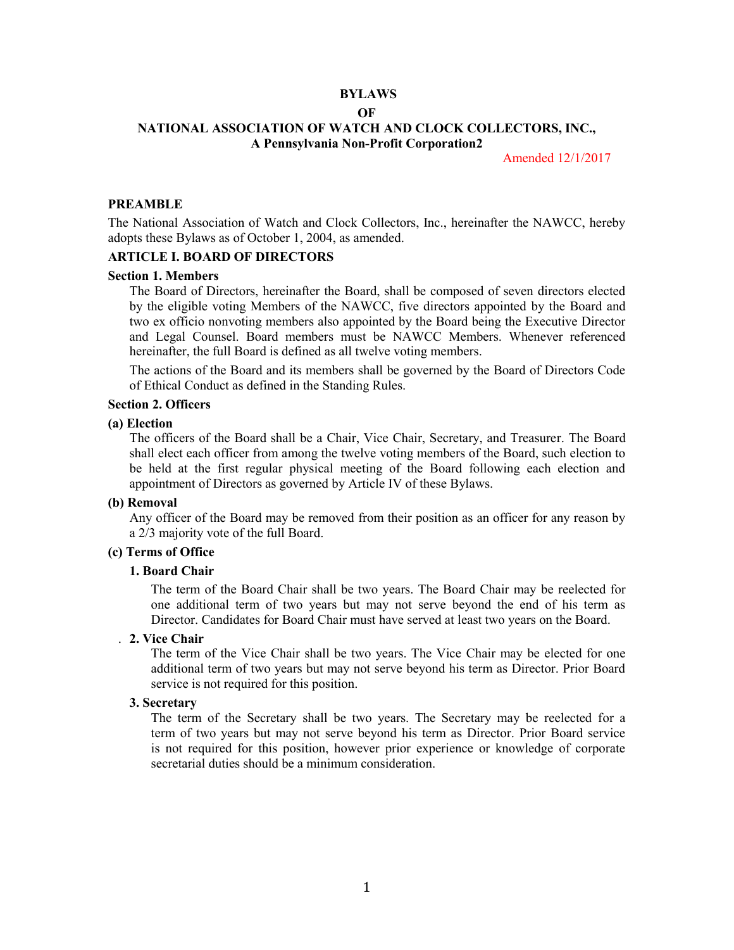### **BYLAWS OF**

# **NATIONAL ASSOCIATION OF WATCH AND CLOCK COLLECTORS, INC., A Pennsylvania Non-Profit Corporation2**

Amended 12/1/2017

## **PREAMBLE**

The National Association of Watch and Clock Collectors, Inc., hereinafter the NAWCC, hereby adopts these Bylaws as of October 1, 2004, as amended.

# **ARTICLE I. BOARD OF DIRECTORS**

### **Section 1. Members**

The Board of Directors, hereinafter the Board, shall be composed of seven directors elected by the eligible voting Members of the NAWCC, five directors appointed by the Board and two ex officio nonvoting members also appointed by the Board being the Executive Director and Legal Counsel. Board members must be NAWCC Members. Whenever referenced hereinafter, the full Board is defined as all twelve voting members.

The actions of the Board and its members shall be governed by the Board of Directors Code of Ethical Conduct as defined in the Standing Rules.

### **Section 2. Officers**

### **(a) Election**

The officers of the Board shall be a Chair, Vice Chair, Secretary, and Treasurer. The Board shall elect each officer from among the twelve voting members of the Board, such election to be held at the first regular physical meeting of the Board following each election and appointment of Directors as governed by Article IV of these Bylaws.

### **(b) Removal**

Any officer of the Board may be removed from their position as an officer for any reason by a 2/3 majority vote of the full Board.

# **(c) Terms of Office**

### **1. Board Chair**

The term of the Board Chair shall be two years. The Board Chair may be reelected for one additional term of two years but may not serve beyond the end of his term as Director. Candidates for Board Chair must have served at least two years on the Board.

### . **2. Vice Chair**

The term of the Vice Chair shall be two years. The Vice Chair may be elected for one additional term of two years but may not serve beyond his term as Director. Prior Board service is not required for this position.

### **3. Secretary**

The term of the Secretary shall be two years. The Secretary may be reelected for a term of two years but may not serve beyond his term as Director. Prior Board service is not required for this position, however prior experience or knowledge of corporate secretarial duties should be a minimum consideration.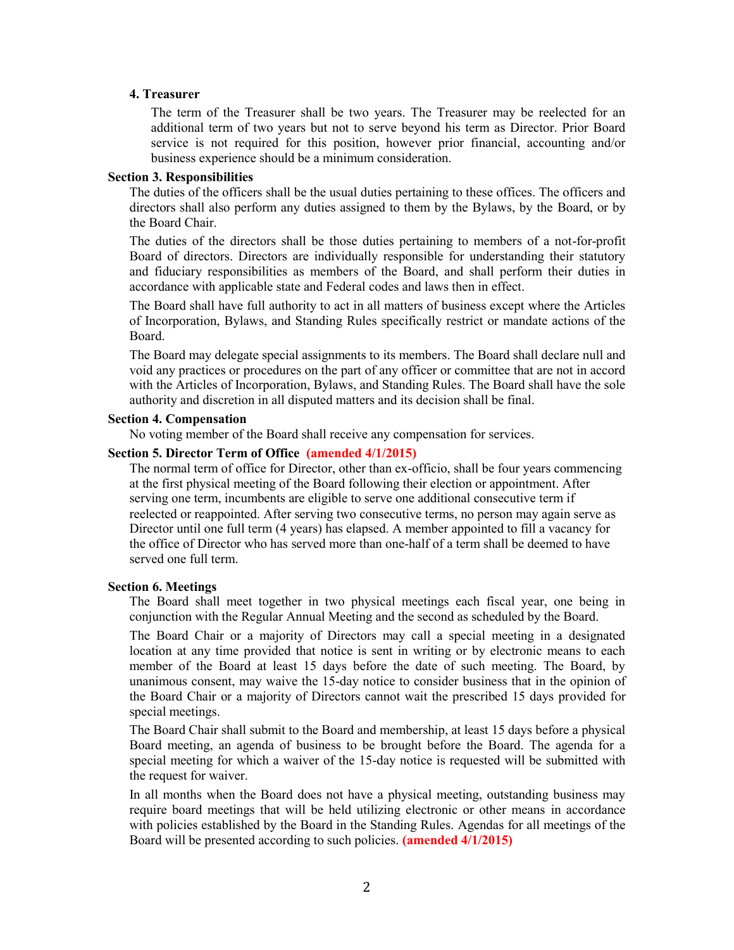### **4. Treasurer**

The term of the Treasurer shall be two years. The Treasurer may be reelected for an additional term of two years but not to serve beyond his term as Director. Prior Board service is not required for this position, however prior financial, accounting and/or business experience should be a minimum consideration.

## **Section 3. Responsibilities**

The duties of the officers shall be the usual duties pertaining to these offices. The officers and directors shall also perform any duties assigned to them by the Bylaws, by the Board, or by the Board Chair.

The duties of the directors shall be those duties pertaining to members of a not-for-profit Board of directors. Directors are individually responsible for understanding their statutory and fiduciary responsibilities as members of the Board, and shall perform their duties in accordance with applicable state and Federal codes and laws then in effect.

The Board shall have full authority to act in all matters of business except where the Articles of Incorporation, Bylaws, and Standing Rules specifically restrict or mandate actions of the Board.

The Board may delegate special assignments to its members. The Board shall declare null and void any practices or procedures on the part of any officer or committee that are not in accord with the Articles of Incorporation, Bylaws, and Standing Rules. The Board shall have the sole authority and discretion in all disputed matters and its decision shall be final.

### **Section 4. Compensation**

No voting member of the Board shall receive any compensation for services.

### **Section 5. Director Term of Office (amended 4/1/2015)**

The normal term of office for Director, other than ex-officio, shall be four years commencing at the first physical meeting of the Board following their election or appointment. After serving one term, incumbents are eligible to serve one additional consecutive term if reelected or reappointed. After serving two consecutive terms, no person may again serve as Director until one full term (4 years) has elapsed. A member appointed to fill a vacancy for the office of Director who has served more than one-half of a term shall be deemed to have served one full term.

### **Section 6. Meetings**

The Board shall meet together in two physical meetings each fiscal year, one being in conjunction with the Regular Annual Meeting and the second as scheduled by the Board.

The Board Chair or a majority of Directors may call a special meeting in a designated location at any time provided that notice is sent in writing or by electronic means to each member of the Board at least 15 days before the date of such meeting. The Board, by unanimous consent, may waive the 15-day notice to consider business that in the opinion of the Board Chair or a majority of Directors cannot wait the prescribed 15 days provided for special meetings.

The Board Chair shall submit to the Board and membership, at least 15 days before a physical Board meeting, an agenda of business to be brought before the Board. The agenda for a special meeting for which a waiver of the 15-day notice is requested will be submitted with the request for waiver.

In all months when the Board does not have a physical meeting, outstanding business may require board meetings that will be held utilizing electronic or other means in accordance with policies established by the Board in the Standing Rules. Agendas for all meetings of the Board will be presented according to such policies. **(amended 4/1/2015)**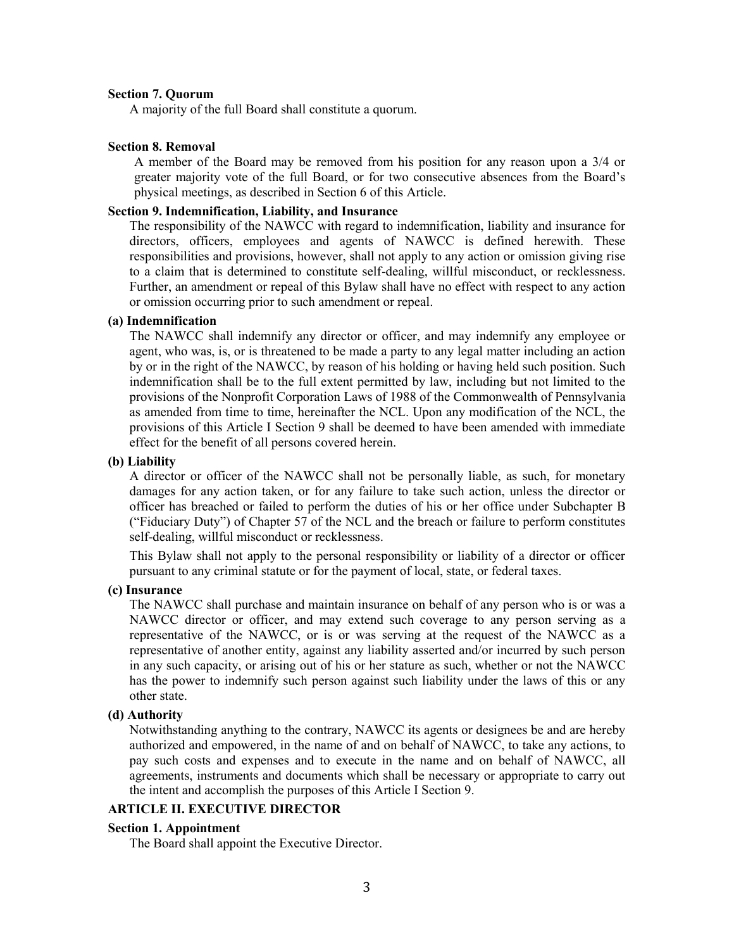### **Section 7. Quorum**

A majority of the full Board shall constitute a quorum.

## **Section 8. Removal**

A member of the Board may be removed from his position for any reason upon a 3/4 or greater majority vote of the full Board, or for two consecutive absences from the Board's physical meetings, as described in Section 6 of this Article.

## **Section 9. Indemnification, Liability, and Insurance**

The responsibility of the NAWCC with regard to indemnification, liability and insurance for directors, officers, employees and agents of NAWCC is defined herewith. These responsibilities and provisions, however, shall not apply to any action or omission giving rise to a claim that is determined to constitute self-dealing, willful misconduct, or recklessness. Further, an amendment or repeal of this Bylaw shall have no effect with respect to any action or omission occurring prior to such amendment or repeal.

## **(a) Indemnification**

The NAWCC shall indemnify any director or officer, and may indemnify any employee or agent, who was, is, or is threatened to be made a party to any legal matter including an action by or in the right of the NAWCC, by reason of his holding or having held such position. Such indemnification shall be to the full extent permitted by law, including but not limited to the provisions of the Nonprofit Corporation Laws of 1988 of the Commonwealth of Pennsylvania as amended from time to time, hereinafter the NCL. Upon any modification of the NCL, the provisions of this Article I Section 9 shall be deemed to have been amended with immediate effect for the benefit of all persons covered herein.

### **(b) Liability**

A director or officer of the NAWCC shall not be personally liable, as such, for monetary damages for any action taken, or for any failure to take such action, unless the director or officer has breached or failed to perform the duties of his or her office under Subchapter B ("Fiduciary Duty") of Chapter 57 of the NCL and the breach or failure to perform constitutes self-dealing, willful misconduct or recklessness.

This Bylaw shall not apply to the personal responsibility or liability of a director or officer pursuant to any criminal statute or for the payment of local, state, or federal taxes.

## **(c) Insurance**

The NAWCC shall purchase and maintain insurance on behalf of any person who is or was a NAWCC director or officer, and may extend such coverage to any person serving as a representative of the NAWCC, or is or was serving at the request of the NAWCC as a representative of another entity, against any liability asserted and/or incurred by such person in any such capacity, or arising out of his or her stature as such, whether or not the NAWCC has the power to indemnify such person against such liability under the laws of this or any other state.

### **(d) Authority**

Notwithstanding anything to the contrary, NAWCC its agents or designees be and are hereby authorized and empowered, in the name of and on behalf of NAWCC, to take any actions, to pay such costs and expenses and to execute in the name and on behalf of NAWCC, all agreements, instruments and documents which shall be necessary or appropriate to carry out the intent and accomplish the purposes of this Article I Section 9.

### **ARTICLE II. EXECUTIVE DIRECTOR**

### **Section 1. Appointment**

The Board shall appoint the Executive Director.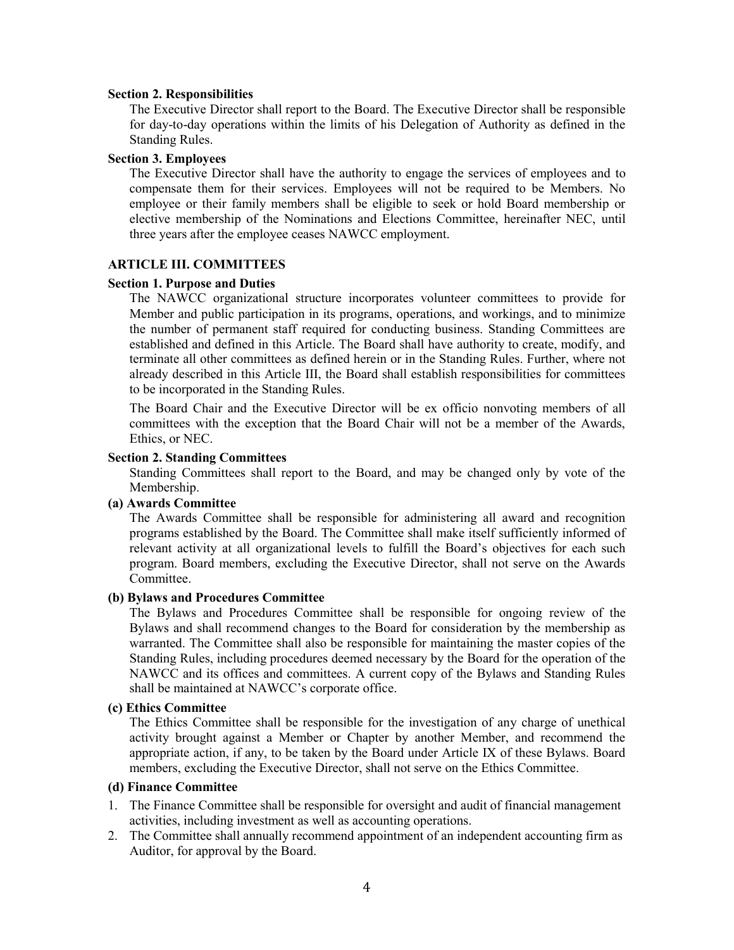#### **Section 2. Responsibilities**

The Executive Director shall report to the Board. The Executive Director shall be responsible for day-to-day operations within the limits of his Delegation of Authority as defined in the Standing Rules.

## **Section 3. Employees**

The Executive Director shall have the authority to engage the services of employees and to compensate them for their services. Employees will not be required to be Members. No employee or their family members shall be eligible to seek or hold Board membership or elective membership of the Nominations and Elections Committee, hereinafter NEC, until three years after the employee ceases NAWCC employment.

## **ARTICLE III. COMMITTEES**

## **Section 1. Purpose and Duties**

The NAWCC organizational structure incorporates volunteer committees to provide for Member and public participation in its programs, operations, and workings, and to minimize the number of permanent staff required for conducting business. Standing Committees are established and defined in this Article. The Board shall have authority to create, modify, and terminate all other committees as defined herein or in the Standing Rules. Further, where not already described in this Article III, the Board shall establish responsibilities for committees to be incorporated in the Standing Rules.

The Board Chair and the Executive Director will be ex officio nonvoting members of all committees with the exception that the Board Chair will not be a member of the Awards, Ethics, or NEC.

## **Section 2. Standing Committees**

Standing Committees shall report to the Board, and may be changed only by vote of the Membership.

# **(a) Awards Committee**

The Awards Committee shall be responsible for administering all award and recognition programs established by the Board. The Committee shall make itself sufficiently informed of relevant activity at all organizational levels to fulfill the Board's objectives for each such program. Board members, excluding the Executive Director, shall not serve on the Awards Committee.

#### **(b) Bylaws and Procedures Committee**

The Bylaws and Procedures Committee shall be responsible for ongoing review of the Bylaws and shall recommend changes to the Board for consideration by the membership as warranted. The Committee shall also be responsible for maintaining the master copies of the Standing Rules, including procedures deemed necessary by the Board for the operation of the NAWCC and its offices and committees. A current copy of the Bylaws and Standing Rules shall be maintained at NAWCC's corporate office.

### **(c) Ethics Committee**

The Ethics Committee shall be responsible for the investigation of any charge of unethical activity brought against a Member or Chapter by another Member, and recommend the appropriate action, if any, to be taken by the Board under Article IX of these Bylaws. Board members, excluding the Executive Director, shall not serve on the Ethics Committee.

### **(d) Finance Committee**

- 1. The Finance Committee shall be responsible for oversight and audit of financial management activities, including investment as well as accounting operations.
- 2. The Committee shall annually recommend appointment of an independent accounting firm as Auditor, for approval by the Board.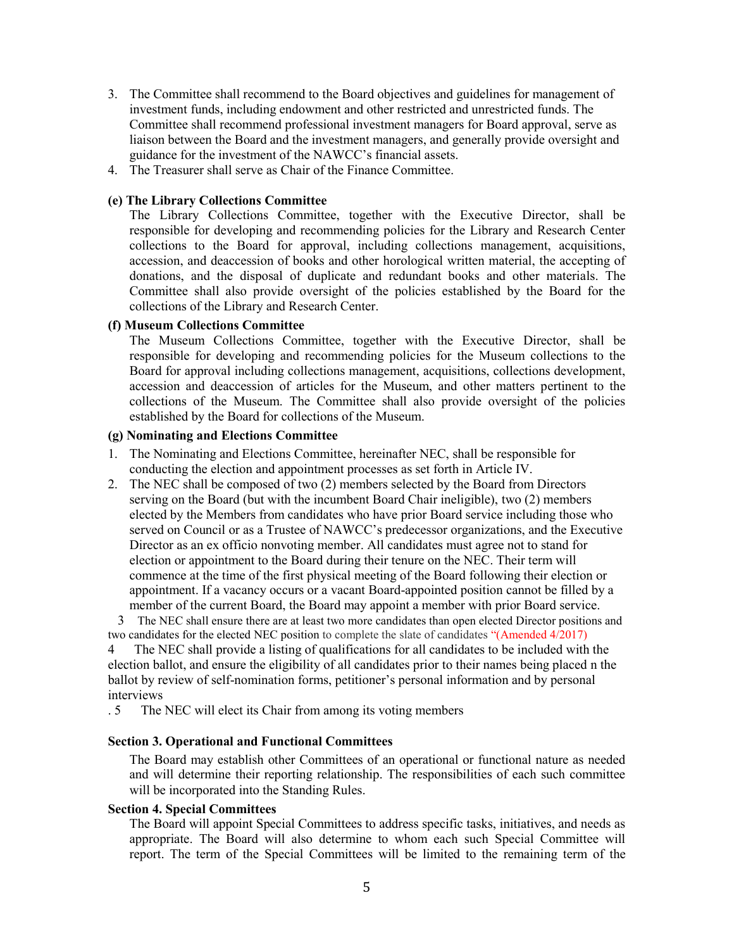- 3. The Committee shall recommend to the Board objectives and guidelines for management of investment funds, including endowment and other restricted and unrestricted funds. The Committee shall recommend professional investment managers for Board approval, serve as liaison between the Board and the investment managers, and generally provide oversight and guidance for the investment of the NAWCC's financial assets.
- 4. The Treasurer shall serve as Chair of the Finance Committee.

## **(e) The Library Collections Committee**

The Library Collections Committee, together with the Executive Director, shall be responsible for developing and recommending policies for the Library and Research Center collections to the Board for approval, including collections management, acquisitions, accession, and deaccession of books and other horological written material, the accepting of donations, and the disposal of duplicate and redundant books and other materials. The Committee shall also provide oversight of the policies established by the Board for the collections of the Library and Research Center.

## **(f) Museum Collections Committee**

The Museum Collections Committee, together with the Executive Director, shall be responsible for developing and recommending policies for the Museum collections to the Board for approval including collections management, acquisitions, collections development, accession and deaccession of articles for the Museum, and other matters pertinent to the collections of the Museum. The Committee shall also provide oversight of the policies established by the Board for collections of the Museum.

## **(g) Nominating and Elections Committee**

- 1. The Nominating and Elections Committee, hereinafter NEC, shall be responsible for conducting the election and appointment processes as set forth in Article IV.
- 2. The NEC shall be composed of two (2) members selected by the Board from Directors serving on the Board (but with the incumbent Board Chair ineligible), two (2) members elected by the Members from candidates who have prior Board service including those who served on Council or as a Trustee of NAWCC's predecessor organizations, and the Executive Director as an ex officio nonvoting member. All candidates must agree not to stand for election or appointment to the Board during their tenure on the NEC. Their term will commence at the time of the first physical meeting of the Board following their election or appointment. If a vacancy occurs or a vacant Board-appointed position cannot be filled by a member of the current Board, the Board may appoint a member with prior Board service.

 3 The NEC shall ensure there are at least two more candidates than open elected Director positions and two candidates for the elected NEC position to complete the slate of candidates "(Amended 4/2017)

4 The NEC shall provide a listing of qualifications for all candidates to be included with the election ballot, and ensure the eligibility of all candidates prior to their names being placed n the ballot by review of self-nomination forms, petitioner's personal information and by personal interviews

. 5 The NEC will elect its Chair from among its voting members

### **Section 3. Operational and Functional Committees**

The Board may establish other Committees of an operational or functional nature as needed and will determine their reporting relationship. The responsibilities of each such committee will be incorporated into the Standing Rules.

### **Section 4. Special Committees**

The Board will appoint Special Committees to address specific tasks, initiatives, and needs as appropriate. The Board will also determine to whom each such Special Committee will report. The term of the Special Committees will be limited to the remaining term of the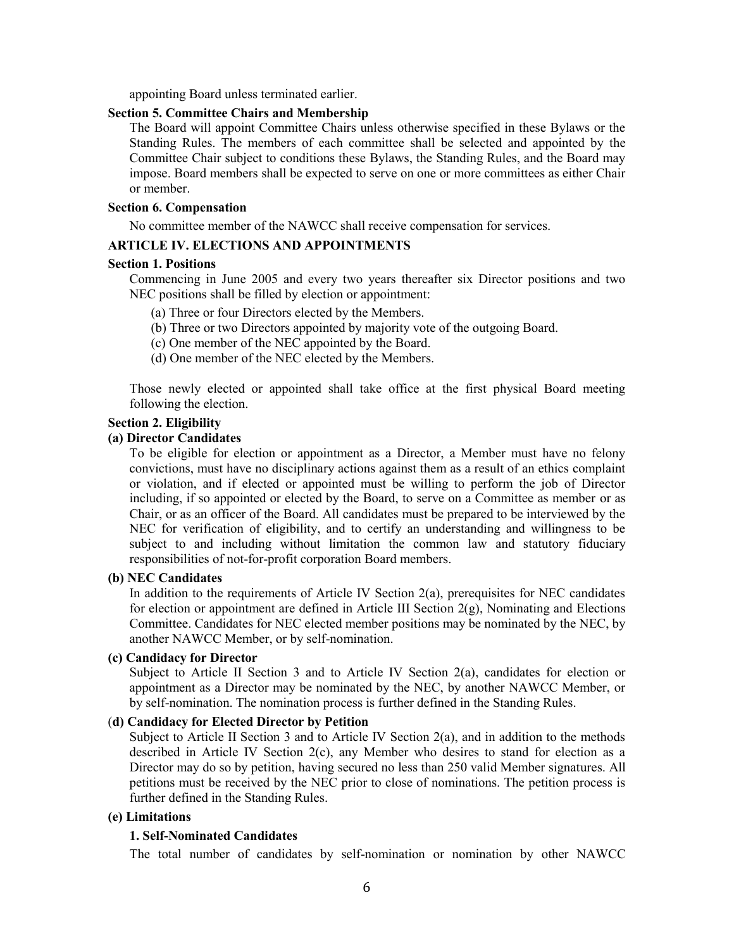appointing Board unless terminated earlier.

# **Section 5. Committee Chairs and Membership**

The Board will appoint Committee Chairs unless otherwise specified in these Bylaws or the Standing Rules. The members of each committee shall be selected and appointed by the Committee Chair subject to conditions these Bylaws, the Standing Rules, and the Board may impose. Board members shall be expected to serve on one or more committees as either Chair or member.

## **Section 6. Compensation**

No committee member of the NAWCC shall receive compensation for services.

## **ARTICLE IV. ELECTIONS AND APPOINTMENTS**

## **Section 1. Positions**

Commencing in June 2005 and every two years thereafter six Director positions and two NEC positions shall be filled by election or appointment:

- (a) Three or four Directors elected by the Members.
- (b) Three or two Directors appointed by majority vote of the outgoing Board.
- (c) One member of the NEC appointed by the Board.
- (d) One member of the NEC elected by the Members.

Those newly elected or appointed shall take office at the first physical Board meeting following the election.

## **Section 2. Eligibility**

### **(a) Director Candidates**

To be eligible for election or appointment as a Director, a Member must have no felony convictions, must have no disciplinary actions against them as a result of an ethics complaint or violation, and if elected or appointed must be willing to perform the job of Director including, if so appointed or elected by the Board, to serve on a Committee as member or as Chair, or as an officer of the Board. All candidates must be prepared to be interviewed by the NEC for verification of eligibility, and to certify an understanding and willingness to be subject to and including without limitation the common law and statutory fiduciary responsibilities of not-for-profit corporation Board members.

### **(b) NEC Candidates**

In addition to the requirements of Article IV Section  $2(a)$ , prerequisites for NEC candidates for election or appointment are defined in Article III Section 2(g), Nominating and Elections Committee. Candidates for NEC elected member positions may be nominated by the NEC, by another NAWCC Member, or by self-nomination.

### **(c) Candidacy for Director**

Subject to Article II Section 3 and to Article IV Section 2(a), candidates for election or appointment as a Director may be nominated by the NEC, by another NAWCC Member, or by self-nomination. The nomination process is further defined in the Standing Rules.

### (**d) Candidacy for Elected Director by Petition**

Subject to Article II Section 3 and to Article IV Section 2(a), and in addition to the methods described in Article IV Section 2(c), any Member who desires to stand for election as a Director may do so by petition, having secured no less than 250 valid Member signatures. All petitions must be received by the NEC prior to close of nominations. The petition process is further defined in the Standing Rules.

### **(e) Limitations**

### **1. Self-Nominated Candidates**

The total number of candidates by self-nomination or nomination by other NAWCC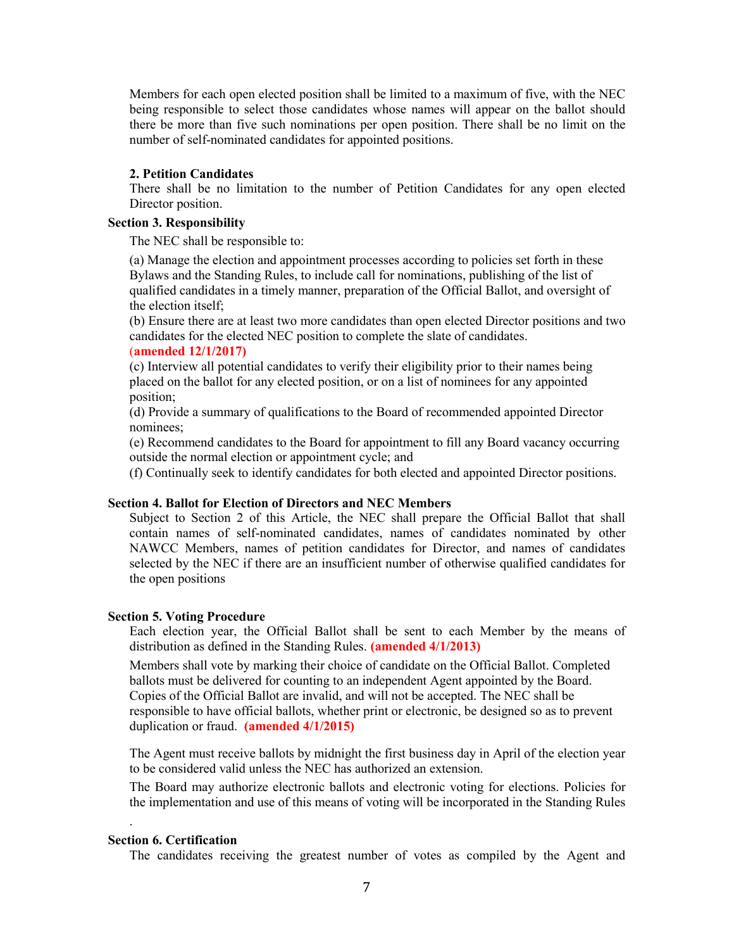Members for each open elected position shall be limited to a maximum of five, with the NEC being responsible to select those candidates whose names will appear on the ballot should there be more than five such nominations per open position. There shall be no limit on the number of self-nominated candidates for appointed positions.

#### **2. Petition Candidates**

There shall be no limitation to the number of Petition Candidates for any open elected Director position.

# **Section 3. Responsibility**

The NEC shall be responsible to:

(a) Manage the election and appointment processes according to policies set forth in these Bylaws and the Standing Rules, to include call for nominations, publishing of the list of qualified candidates in a timely manner, preparation of the Official Ballot, and oversight of the election itself;

(b) Ensure there are at least two more candidates than open elected Director positions and two candidates for the elected NEC position to complete the slate of candidates.

# (**amended 12/1/2017)**

(c) Interview all potential candidates to verify their eligibility prior to their names being placed on the ballot for any elected position, or on a list of nominees for any appointed position;

(d) Provide a summary of qualifications to the Board of recommended appointed Director nominees;

(e) Recommend candidates to the Board for appointment to fill any Board vacancy occurring outside the normal election or appointment cycle; and

(f) Continually seek to identify candidates for both elected and appointed Director positions.

## **Section 4. Ballot for Election of Directors and NEC Members**

Subject to Section 2 of this Article, the NEC shall prepare the Official Ballot that shall contain names of self-nominated candidates, names of candidates nominated by other NAWCC Members, names of petition candidates for Director, and names of candidates selected by the NEC if there are an insufficient number of otherwise qualified candidates for the open positions

#### **Section 5. Voting Procedure**

Each election year, the Official Ballot shall be sent to each Member by the means of distribution as defined in the Standing Rules. **(amended 4/1/2013)**

Members shall vote by marking their choice of candidate on the Official Ballot. Completed ballots must be delivered for counting to an independent Agent appointed by the Board. Copies of the Official Ballot are invalid, and will not be accepted. The NEC shall be responsible to have official ballots, whether print or electronic, be designed so as to prevent duplication or fraud. **(amended 4/1/2015)**

The Agent must receive ballots by midnight the first business day in April of the election year to be considered valid unless the NEC has authorized an extension.

The Board may authorize electronic ballots and electronic voting for elections. Policies for the implementation and use of this means of voting will be incorporated in the Standing Rules

## **Section 6. Certification**

.

The candidates receiving the greatest number of votes as compiled by the Agent and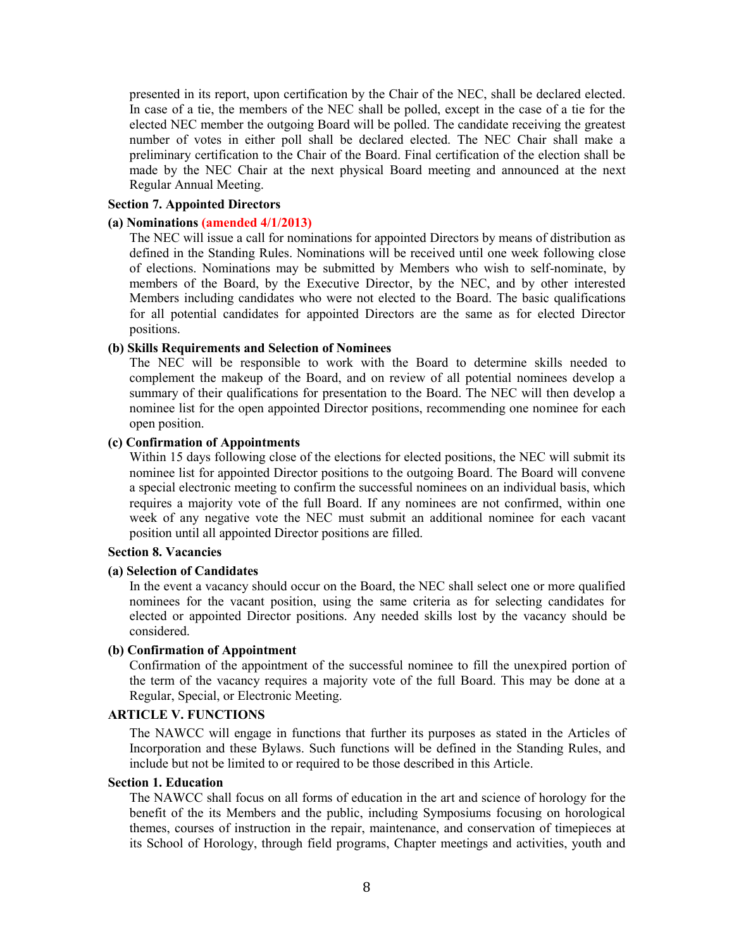presented in its report, upon certification by the Chair of the NEC, shall be declared elected. In case of a tie, the members of the NEC shall be polled, except in the case of a tie for the elected NEC member the outgoing Board will be polled. The candidate receiving the greatest number of votes in either poll shall be declared elected. The NEC Chair shall make a preliminary certification to the Chair of the Board. Final certification of the election shall be made by the NEC Chair at the next physical Board meeting and announced at the next Regular Annual Meeting.

## **Section 7. Appointed Directors**

# **(a) Nominations (amended 4/1/2013)**

The NEC will issue a call for nominations for appointed Directors by means of distribution as defined in the Standing Rules. Nominations will be received until one week following close of elections. Nominations may be submitted by Members who wish to self-nominate, by members of the Board, by the Executive Director, by the NEC, and by other interested Members including candidates who were not elected to the Board. The basic qualifications for all potential candidates for appointed Directors are the same as for elected Director positions.

### **(b) Skills Requirements and Selection of Nominees**

The NEC will be responsible to work with the Board to determine skills needed to complement the makeup of the Board, and on review of all potential nominees develop a summary of their qualifications for presentation to the Board. The NEC will then develop a nominee list for the open appointed Director positions, recommending one nominee for each open position.

## **(c) Confirmation of Appointments**

Within 15 days following close of the elections for elected positions, the NEC will submit its nominee list for appointed Director positions to the outgoing Board. The Board will convene a special electronic meeting to confirm the successful nominees on an individual basis, which requires a majority vote of the full Board. If any nominees are not confirmed, within one week of any negative vote the NEC must submit an additional nominee for each vacant position until all appointed Director positions are filled.

# **Section 8. Vacancies**

## **(a) Selection of Candidates**

In the event a vacancy should occur on the Board, the NEC shall select one or more qualified nominees for the vacant position, using the same criteria as for selecting candidates for elected or appointed Director positions. Any needed skills lost by the vacancy should be considered.

### **(b) Confirmation of Appointment**

Confirmation of the appointment of the successful nominee to fill the unexpired portion of the term of the vacancy requires a majority vote of the full Board. This may be done at a Regular, Special, or Electronic Meeting.

# **ARTICLE V. FUNCTIONS**

The NAWCC will engage in functions that further its purposes as stated in the Articles of Incorporation and these Bylaws. Such functions will be defined in the Standing Rules, and include but not be limited to or required to be those described in this Article.

### **Section 1. Education**

The NAWCC shall focus on all forms of education in the art and science of horology for the benefit of the its Members and the public, including Symposiums focusing on horological themes, courses of instruction in the repair, maintenance, and conservation of timepieces at its School of Horology, through field programs, Chapter meetings and activities, youth and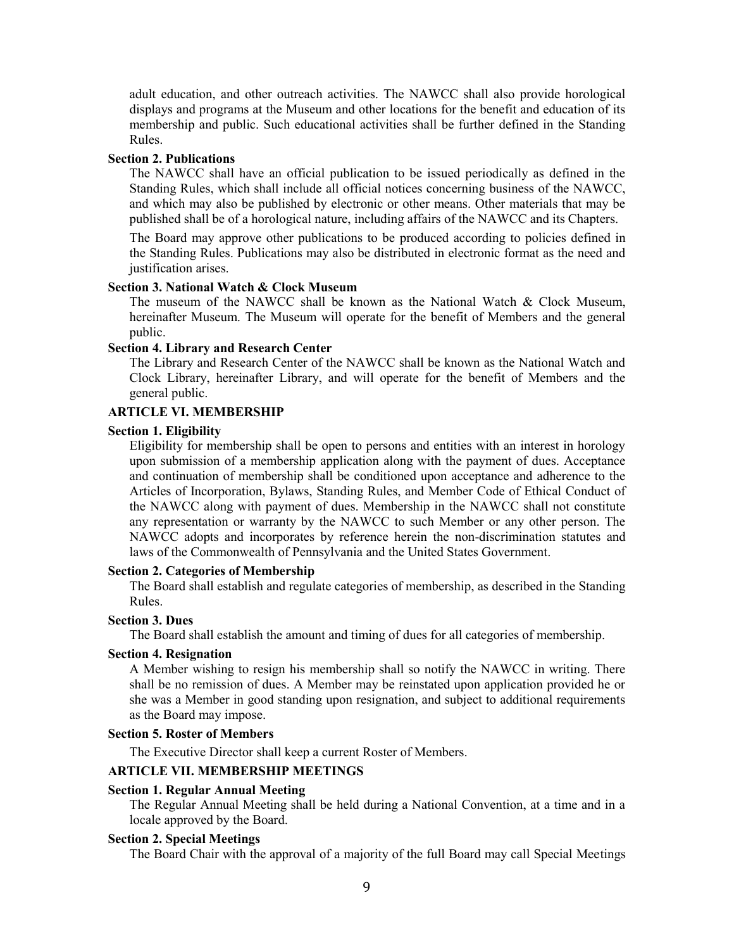adult education, and other outreach activities. The NAWCC shall also provide horological displays and programs at the Museum and other locations for the benefit and education of its membership and public. Such educational activities shall be further defined in the Standing Rules.

## **Section 2. Publications**

The NAWCC shall have an official publication to be issued periodically as defined in the Standing Rules, which shall include all official notices concerning business of the NAWCC, and which may also be published by electronic or other means. Other materials that may be published shall be of a horological nature, including affairs of the NAWCC and its Chapters.

The Board may approve other publications to be produced according to policies defined in the Standing Rules. Publications may also be distributed in electronic format as the need and justification arises.

### **Section 3. National Watch & Clock Museum**

The museum of the NAWCC shall be known as the National Watch & Clock Museum, hereinafter Museum. The Museum will operate for the benefit of Members and the general public.

## **Section 4. Library and Research Center**

The Library and Research Center of the NAWCC shall be known as the National Watch and Clock Library, hereinafter Library, and will operate for the benefit of Members and the general public.

## **ARTICLE VI. MEMBERSHIP**

#### **Section 1. Eligibility**

Eligibility for membership shall be open to persons and entities with an interest in horology upon submission of a membership application along with the payment of dues. Acceptance and continuation of membership shall be conditioned upon acceptance and adherence to the Articles of Incorporation, Bylaws, Standing Rules, and Member Code of Ethical Conduct of the NAWCC along with payment of dues. Membership in the NAWCC shall not constitute any representation or warranty by the NAWCC to such Member or any other person. The NAWCC adopts and incorporates by reference herein the non-discrimination statutes and laws of the Commonwealth of Pennsylvania and the United States Government.

### **Section 2. Categories of Membership**

The Board shall establish and regulate categories of membership, as described in the Standing Rules.

## **Section 3. Dues**

The Board shall establish the amount and timing of dues for all categories of membership.

#### **Section 4. Resignation**

A Member wishing to resign his membership shall so notify the NAWCC in writing. There shall be no remission of dues. A Member may be reinstated upon application provided he or she was a Member in good standing upon resignation, and subject to additional requirements as the Board may impose.

#### **Section 5. Roster of Members**

The Executive Director shall keep a current Roster of Members.

# **ARTICLE VII. MEMBERSHIP MEETINGS**

#### **Section 1. Regular Annual Meeting**

The Regular Annual Meeting shall be held during a National Convention, at a time and in a locale approved by the Board.

# **Section 2. Special Meetings**

The Board Chair with the approval of a majority of the full Board may call Special Meetings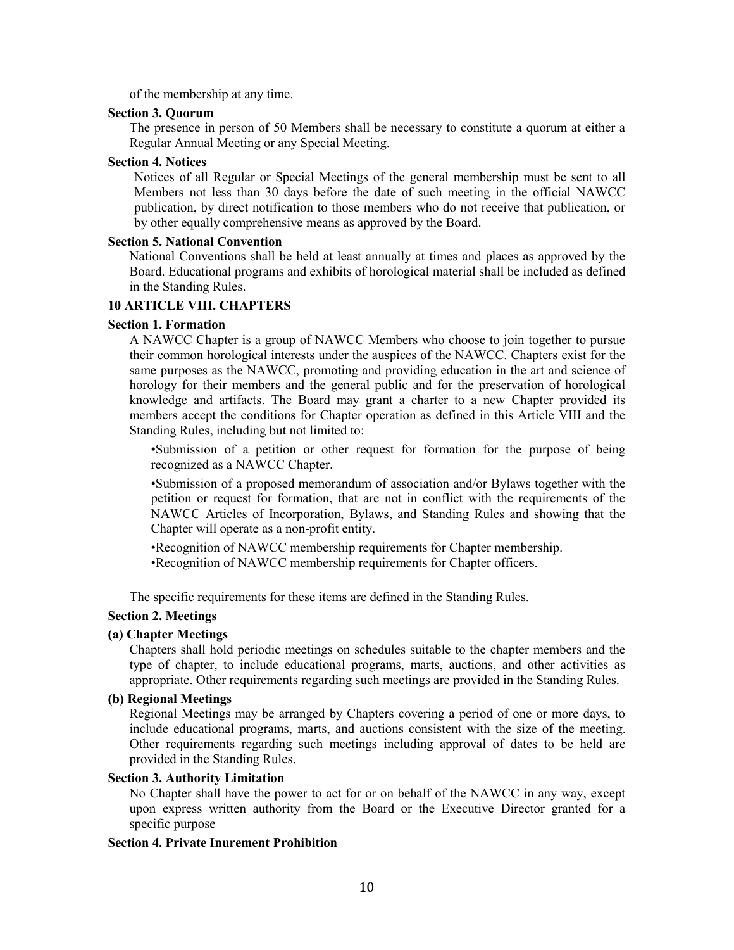of the membership at any time.

## **Section 3. Quorum**

The presence in person of 50 Members shall be necessary to constitute a quorum at either a Regular Annual Meeting or any Special Meeting.

### **Section 4. Notices**

Notices of all Regular or Special Meetings of the general membership must be sent to all Members not less than 30 days before the date of such meeting in the official NAWCC publication, by direct notification to those members who do not receive that publication, or by other equally comprehensive means as approved by the Board.

### **Section 5. National Convention**

National Conventions shall be held at least annually at times and places as approved by the Board. Educational programs and exhibits of horological material shall be included as defined in the Standing Rules.

# **10 ARTICLE VIII. CHAPTERS**

### **Section 1. Formation**

A NAWCC Chapter is a group of NAWCC Members who choose to join together to pursue their common horological interests under the auspices of the NAWCC. Chapters exist for the same purposes as the NAWCC, promoting and providing education in the art and science of horology for their members and the general public and for the preservation of horological knowledge and artifacts. The Board may grant a charter to a new Chapter provided its members accept the conditions for Chapter operation as defined in this Article VIII and the Standing Rules, including but not limited to:

•Submission of a petition or other request for formation for the purpose of being recognized as a NAWCC Chapter.

•Submission of a proposed memorandum of association and/or Bylaws together with the petition or request for formation, that are not in conflict with the requirements of the NAWCC Articles of Incorporation, Bylaws, and Standing Rules and showing that the Chapter will operate as a non-profit entity.

•Recognition of NAWCC membership requirements for Chapter membership. •Recognition of NAWCC membership requirements for Chapter officers.

The specific requirements for these items are defined in the Standing Rules.

# **Section 2. Meetings**

### **(a) Chapter Meetings**

Chapters shall hold periodic meetings on schedules suitable to the chapter members and the type of chapter, to include educational programs, marts, auctions, and other activities as appropriate. Other requirements regarding such meetings are provided in the Standing Rules.

# **(b) Regional Meetings**

Regional Meetings may be arranged by Chapters covering a period of one or more days, to include educational programs, marts, and auctions consistent with the size of the meeting. Other requirements regarding such meetings including approval of dates to be held are provided in the Standing Rules.

# **Section 3. Authority Limitation**

No Chapter shall have the power to act for or on behalf of the NAWCC in any way, except upon express written authority from the Board or the Executive Director granted for a specific purpose

#### **Section 4. Private Inurement Prohibition**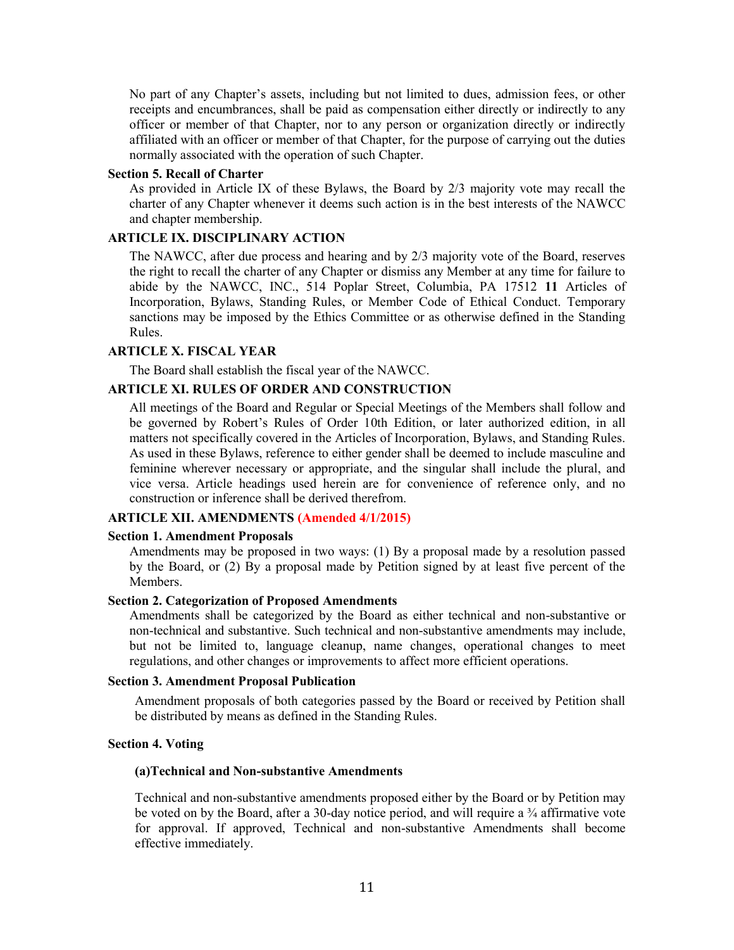No part of any Chapter's assets, including but not limited to dues, admission fees, or other receipts and encumbrances, shall be paid as compensation either directly or indirectly to any officer or member of that Chapter, nor to any person or organization directly or indirectly affiliated with an officer or member of that Chapter, for the purpose of carrying out the duties normally associated with the operation of such Chapter.

## **Section 5. Recall of Charter**

As provided in Article IX of these Bylaws, the Board by 2/3 majority vote may recall the charter of any Chapter whenever it deems such action is in the best interests of the NAWCC and chapter membership.

## **ARTICLE IX. DISCIPLINARY ACTION**

The NAWCC, after due process and hearing and by 2/3 majority vote of the Board, reserves the right to recall the charter of any Chapter or dismiss any Member at any time for failure to abide by the NAWCC, INC., 514 Poplar Street, Columbia, PA 17512 **11** Articles of Incorporation, Bylaws, Standing Rules, or Member Code of Ethical Conduct. Temporary sanctions may be imposed by the Ethics Committee or as otherwise defined in the Standing Rules.

## **ARTICLE X. FISCAL YEAR**

The Board shall establish the fiscal year of the NAWCC.

# **ARTICLE XI. RULES OF ORDER AND CONSTRUCTION**

All meetings of the Board and Regular or Special Meetings of the Members shall follow and be governed by Robert's Rules of Order 10th Edition, or later authorized edition, in all matters not specifically covered in the Articles of Incorporation, Bylaws, and Standing Rules. As used in these Bylaws, reference to either gender shall be deemed to include masculine and feminine wherever necessary or appropriate, and the singular shall include the plural, and vice versa. Article headings used herein are for convenience of reference only, and no construction or inference shall be derived therefrom.

## **ARTICLE XII. AMENDMENTS (Amended 4/1/2015)**

#### **Section 1. Amendment Proposals**

Amendments may be proposed in two ways: (1) By a proposal made by a resolution passed by the Board, or (2) By a proposal made by Petition signed by at least five percent of the Members.

## **Section 2. Categorization of Proposed Amendments**

Amendments shall be categorized by the Board as either technical and non-substantive or non-technical and substantive. Such technical and non-substantive amendments may include, but not be limited to, language cleanup, name changes, operational changes to meet regulations, and other changes or improvements to affect more efficient operations.

#### **Section 3. Amendment Proposal Publication**

Amendment proposals of both categories passed by the Board or received by Petition shall be distributed by means as defined in the Standing Rules.

### **Section 4. Voting**

## **(a)Technical and Non-substantive Amendments**

Technical and non-substantive amendments proposed either by the Board or by Petition may be voted on by the Board, after a 30-day notice period, and will require a <sup>3</sup>/<sub>4</sub> affirmative vote for approval. If approved, Technical and non-substantive Amendments shall become effective immediately.